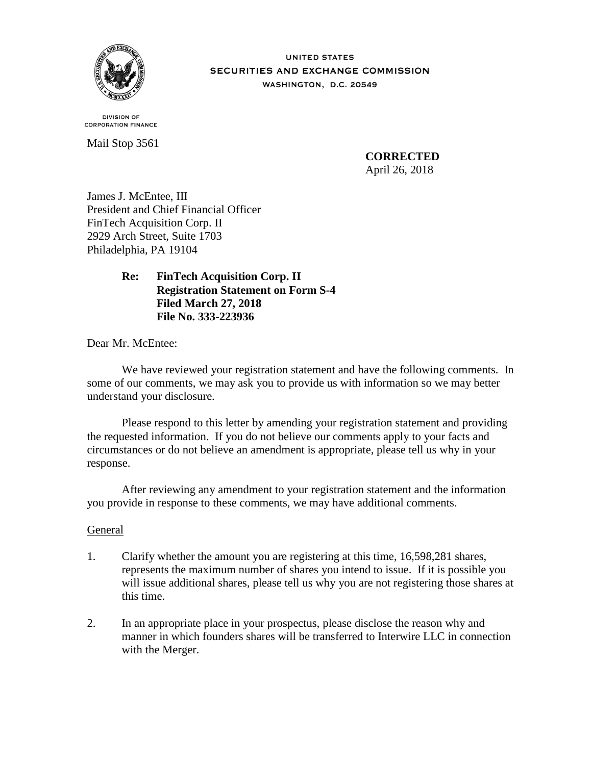

**UNITED STATES SECURITIES AND EXCHANGE COMMISSION** WASHINGTON, D.C. 20549

**DIVISION OF CORPORATION FINANCE** 

Mail Stop 3561

**CORRECTED** April 26, 2018

James J. McEntee, III President and Chief Financial Officer FinTech Acquisition Corp. II 2929 Arch Street, Suite 1703 Philadelphia, PA 19104

# **Re: FinTech Acquisition Corp. II Registration Statement on Form S-4 Filed March 27, 2018 File No. 333-223936**

Dear Mr. McEntee:

We have reviewed your registration statement and have the following comments. In some of our comments, we may ask you to provide us with information so we may better understand your disclosure.

Please respond to this letter by amending your registration statement and providing the requested information. If you do not believe our comments apply to your facts and circumstances or do not believe an amendment is appropriate, please tell us why in your response.

After reviewing any amendment to your registration statement and the information you provide in response to these comments, we may have additional comments.

## General

- 1. Clarify whether the amount you are registering at this time, 16,598,281 shares, represents the maximum number of shares you intend to issue. If it is possible you will issue additional shares, please tell us why you are not registering those shares at this time.
- 2. In an appropriate place in your prospectus, please disclose the reason why and manner in which founders shares will be transferred to Interwire LLC in connection with the Merger.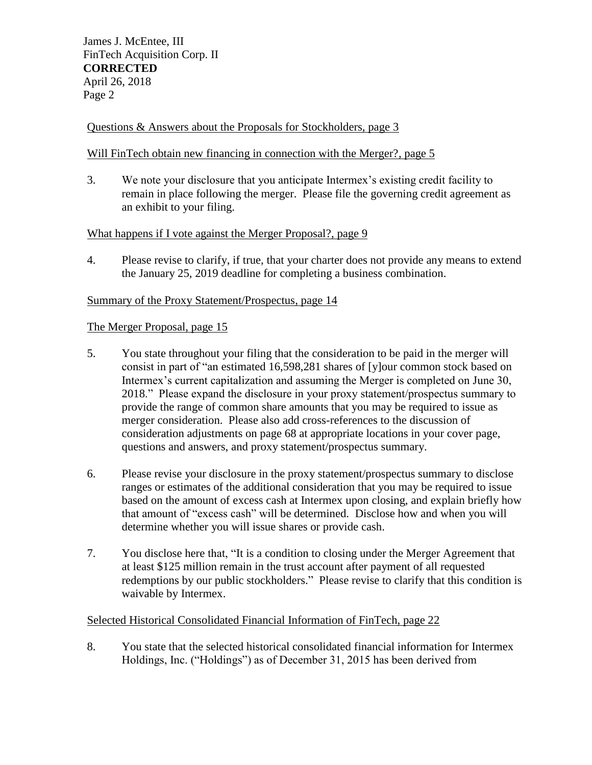# Questions & Answers about the Proposals for Stockholders, page 3

## Will FinTech obtain new financing in connection with the Merger?, page 5

3. We note your disclosure that you anticipate Intermex's existing credit facility to remain in place following the merger. Please file the governing credit agreement as an exhibit to your filing.

## What happens if I vote against the Merger Proposal?, page 9

4. Please revise to clarify, if true, that your charter does not provide any means to extend the January 25, 2019 deadline for completing a business combination.

## Summary of the Proxy Statement/Prospectus, page 14

## The Merger Proposal, page 15

- 5. You state throughout your filing that the consideration to be paid in the merger will consist in part of "an estimated 16,598,281 shares of [y]our common stock based on Intermex's current capitalization and assuming the Merger is completed on June 30, 2018." Please expand the disclosure in your proxy statement/prospectus summary to provide the range of common share amounts that you may be required to issue as merger consideration. Please also add cross-references to the discussion of consideration adjustments on page 68 at appropriate locations in your cover page, questions and answers, and proxy statement/prospectus summary.
- 6. Please revise your disclosure in the proxy statement/prospectus summary to disclose ranges or estimates of the additional consideration that you may be required to issue based on the amount of excess cash at Intermex upon closing, and explain briefly how that amount of "excess cash" will be determined. Disclose how and when you will determine whether you will issue shares or provide cash.
- 7. You disclose here that, "It is a condition to closing under the Merger Agreement that at least \$125 million remain in the trust account after payment of all requested redemptions by our public stockholders." Please revise to clarify that this condition is waivable by Intermex.

## Selected Historical Consolidated Financial Information of FinTech, page 22

8. You state that the selected historical consolidated financial information for Intermex Holdings, Inc. ("Holdings") as of December 31, 2015 has been derived from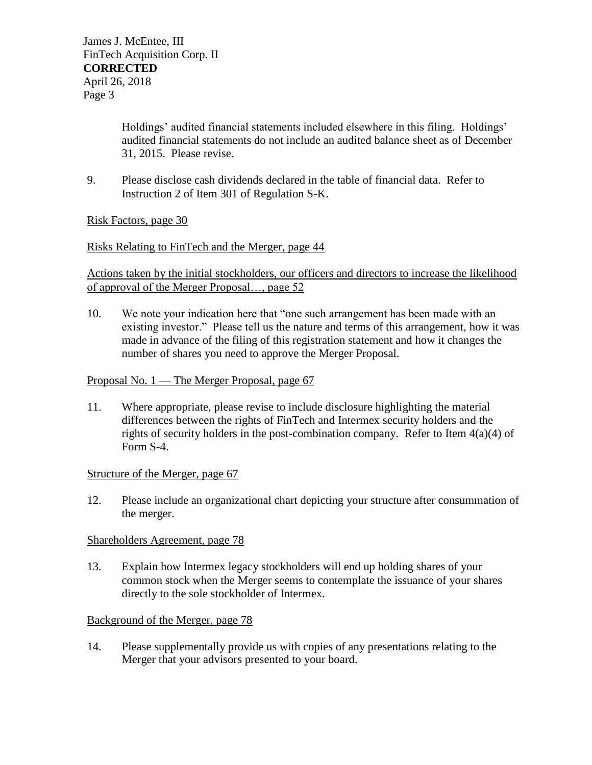Holdings' audited financial statements included elsewhere in this filing. Holdings' audited financial statements do not include an audited balance sheet as of December 31, 2015. Please revise.

9. Please disclose cash dividends declared in the table of financial data. Refer to Instruction 2 of Item 301 of Regulation S-K.

Risk Factors, page 30

## Risks Relating to FinTech and the Merger, page 44

Actions taken by the initial stockholders, our officers and directors to increase the likelihood of approval of the Merger Proposal…, page 52

10. We note your indication here that "one such arrangement has been made with an existing investor." Please tell us the nature and terms of this arrangement, how it was made in advance of the filing of this registration statement and how it changes the number of shares you need to approve the Merger Proposal.

## Proposal No. 1 — The Merger Proposal, page 67

11. Where appropriate, please revise to include disclosure highlighting the material differences between the rights of FinTech and Intermex security holders and the rights of security holders in the post-combination company. Refer to Item 4(a)(4) of Form S-4.

## Structure of the Merger, page 67

12. Please include an organizational chart depicting your structure after consummation of the merger.

## Shareholders Agreement, page 78

13. Explain how Intermex legacy stockholders will end up holding shares of your common stock when the Merger seems to contemplate the issuance of your shares directly to the sole stockholder of Intermex.

# Background of the Merger, page 78

14. Please supplementally provide us with copies of any presentations relating to the Merger that your advisors presented to your board.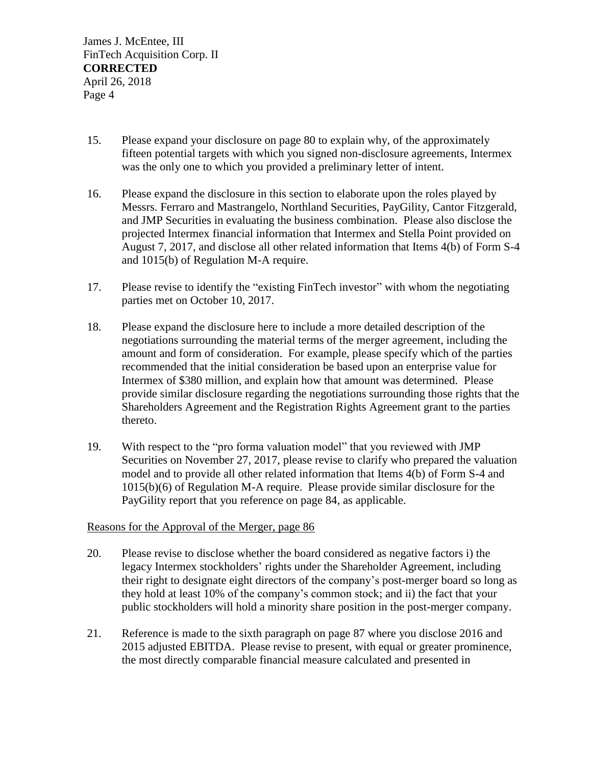- 15. Please expand your disclosure on page 80 to explain why, of the approximately fifteen potential targets with which you signed non-disclosure agreements, Intermex was the only one to which you provided a preliminary letter of intent.
- 16. Please expand the disclosure in this section to elaborate upon the roles played by Messrs. Ferraro and Mastrangelo, Northland Securities, PayGility, Cantor Fitzgerald, and JMP Securities in evaluating the business combination. Please also disclose the projected Intermex financial information that Intermex and Stella Point provided on August 7, 2017, and disclose all other related information that Items 4(b) of Form S-4 and 1015(b) of Regulation M-A require.
- 17. Please revise to identify the "existing FinTech investor" with whom the negotiating parties met on October 10, 2017.
- 18. Please expand the disclosure here to include a more detailed description of the negotiations surrounding the material terms of the merger agreement, including the amount and form of consideration. For example, please specify which of the parties recommended that the initial consideration be based upon an enterprise value for Intermex of \$380 million, and explain how that amount was determined. Please provide similar disclosure regarding the negotiations surrounding those rights that the Shareholders Agreement and the Registration Rights Agreement grant to the parties thereto.
- 19. With respect to the "pro forma valuation model" that you reviewed with JMP Securities on November 27, 2017, please revise to clarify who prepared the valuation model and to provide all other related information that Items 4(b) of Form S-4 and 1015(b)(6) of Regulation M-A require. Please provide similar disclosure for the PayGility report that you reference on page 84, as applicable.

## Reasons for the Approval of the Merger, page 86

- 20. Please revise to disclose whether the board considered as negative factors i) the legacy Intermex stockholders' rights under the Shareholder Agreement, including their right to designate eight directors of the company's post-merger board so long as they hold at least 10% of the company's common stock; and ii) the fact that your public stockholders will hold a minority share position in the post-merger company.
- 21. Reference is made to the sixth paragraph on page 87 where you disclose 2016 and 2015 adjusted EBITDA. Please revise to present, with equal or greater prominence, the most directly comparable financial measure calculated and presented in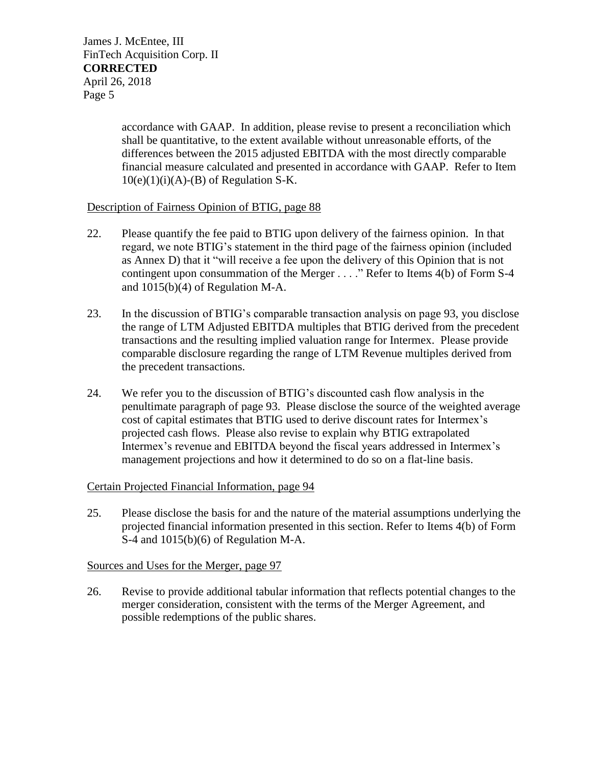> accordance with GAAP. In addition, please revise to present a reconciliation which shall be quantitative, to the extent available without unreasonable efforts, of the differences between the 2015 adjusted EBITDA with the most directly comparable financial measure calculated and presented in accordance with GAAP. Refer to Item  $10(e)(1)(i)(A)$ -(B) of Regulation S-K.

## Description of Fairness Opinion of BTIG, page 88

- 22. Please quantify the fee paid to BTIG upon delivery of the fairness opinion. In that regard, we note BTIG's statement in the third page of the fairness opinion (included as Annex D) that it "will receive a fee upon the delivery of this Opinion that is not contingent upon consummation of the Merger . . . ." Refer to Items 4(b) of Form S-4 and 1015(b)(4) of Regulation M-A.
- 23. In the discussion of BTIG's comparable transaction analysis on page 93, you disclose the range of LTM Adjusted EBITDA multiples that BTIG derived from the precedent transactions and the resulting implied valuation range for Intermex. Please provide comparable disclosure regarding the range of LTM Revenue multiples derived from the precedent transactions.
- 24. We refer you to the discussion of BTIG's discounted cash flow analysis in the penultimate paragraph of page 93. Please disclose the source of the weighted average cost of capital estimates that BTIG used to derive discount rates for Intermex's projected cash flows. Please also revise to explain why BTIG extrapolated Intermex's revenue and EBITDA beyond the fiscal years addressed in Intermex's management projections and how it determined to do so on a flat-line basis.

## Certain Projected Financial Information, page 94

25. Please disclose the basis for and the nature of the material assumptions underlying the projected financial information presented in this section. Refer to Items 4(b) of Form S-4 and 1015(b)(6) of Regulation M-A.

## Sources and Uses for the Merger, page 97

26. Revise to provide additional tabular information that reflects potential changes to the merger consideration, consistent with the terms of the Merger Agreement, and possible redemptions of the public shares.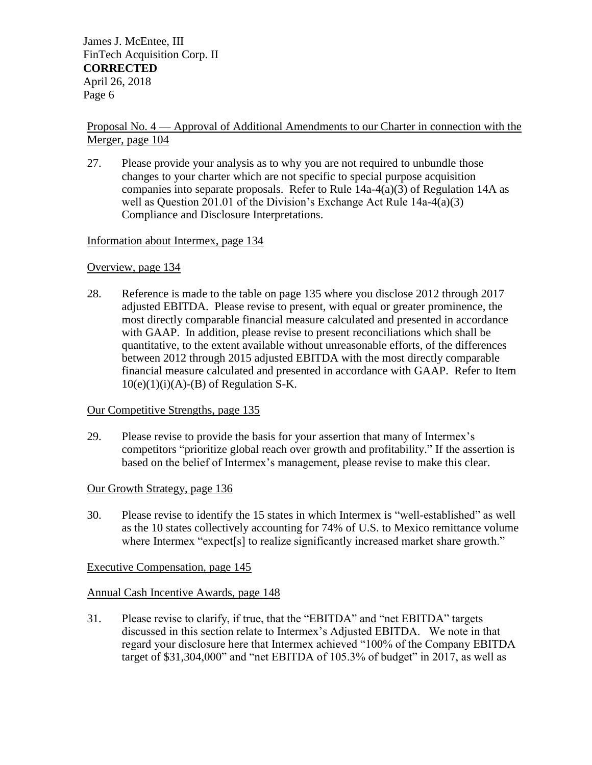## Proposal No. 4 — Approval of Additional Amendments to our Charter in connection with the Merger, page 104

27. Please provide your analysis as to why you are not required to unbundle those changes to your charter which are not specific to special purpose acquisition companies into separate proposals. Refer to Rule  $14a-4(a)(3)$  of Regulation 14A as well as Question 201.01 of the Division's Exchange Act Rule 14a-4(a)(3) Compliance and Disclosure Interpretations.

## Information about Intermex, page 134

## Overview, page 134

28. Reference is made to the table on page 135 where you disclose 2012 through 2017 adjusted EBITDA. Please revise to present, with equal or greater prominence, the most directly comparable financial measure calculated and presented in accordance with GAAP. In addition, please revise to present reconciliations which shall be quantitative, to the extent available without unreasonable efforts, of the differences between 2012 through 2015 adjusted EBITDA with the most directly comparable financial measure calculated and presented in accordance with GAAP. Refer to Item  $10(e)(1)(i)(A)-(B)$  of Regulation S-K.

## Our Competitive Strengths, page 135

29. Please revise to provide the basis for your assertion that many of Intermex's competitors "prioritize global reach over growth and profitability." If the assertion is based on the belief of Intermex's management, please revise to make this clear.

## Our Growth Strategy, page 136

30. Please revise to identify the 15 states in which Intermex is "well-established" as well as the 10 states collectively accounting for 74% of U.S. to Mexico remittance volume where Intermex "expect<sup>[s]</sup> to realize significantly increased market share growth."

## Executive Compensation, page 145

# Annual Cash Incentive Awards, page 148

31. Please revise to clarify, if true, that the "EBITDA" and "net EBITDA" targets discussed in this section relate to Intermex's Adjusted EBITDA. We note in that regard your disclosure here that Intermex achieved "100% of the Company EBITDA target of  $$31,304,000$ " and "net EBITDA of  $105.3\%$  of budget" in 2017, as well as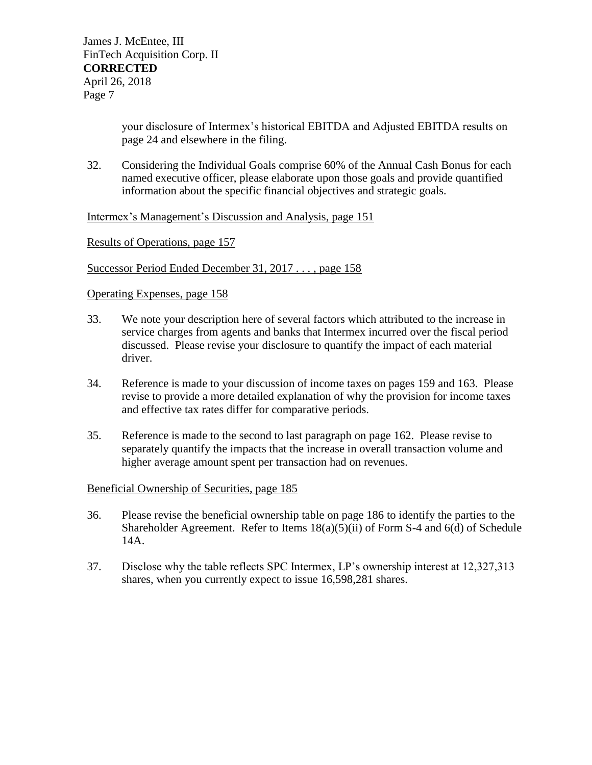your disclosure of Intermex's historical EBITDA and Adjusted EBITDA results on page 24 and elsewhere in the filing.

32. Considering the Individual Goals comprise 60% of the Annual Cash Bonus for each named executive officer, please elaborate upon those goals and provide quantified information about the specific financial objectives and strategic goals.

Intermex's Management's Discussion and Analysis, page 151

Results of Operations, page 157

Successor Period Ended December 31, 2017 . . . , page 158

#### Operating Expenses, page 158

- 33. We note your description here of several factors which attributed to the increase in service charges from agents and banks that Intermex incurred over the fiscal period discussed. Please revise your disclosure to quantify the impact of each material driver.
- 34. Reference is made to your discussion of income taxes on pages 159 and 163. Please revise to provide a more detailed explanation of why the provision for income taxes and effective tax rates differ for comparative periods.
- 35. Reference is made to the second to last paragraph on page 162. Please revise to separately quantify the impacts that the increase in overall transaction volume and higher average amount spent per transaction had on revenues.

#### Beneficial Ownership of Securities, page 185

- 36. Please revise the beneficial ownership table on page 186 to identify the parties to the Shareholder Agreement. Refer to Items 18(a)(5)(ii) of Form S-4 and 6(d) of Schedule 14A.
- 37. Disclose why the table reflects SPC Intermex, LP's ownership interest at 12,327,313 shares, when you currently expect to issue 16,598,281 shares.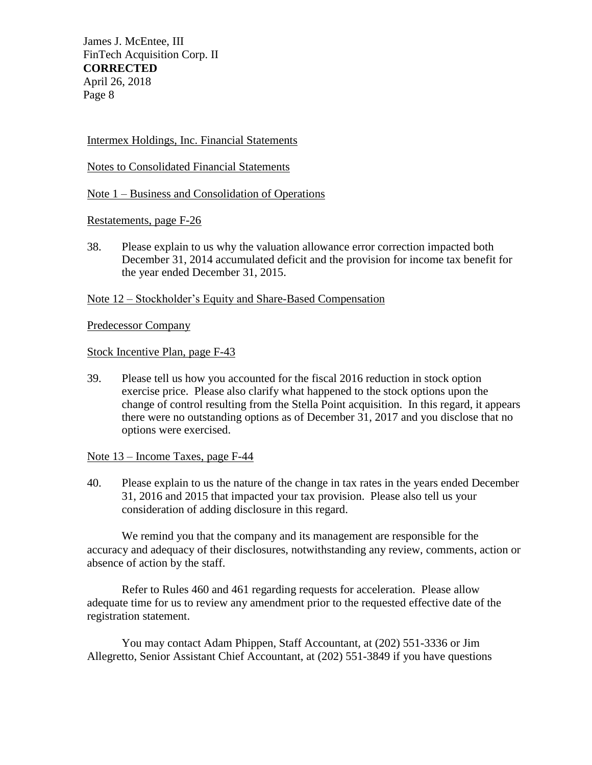Intermex Holdings, Inc. Financial Statements

Notes to Consolidated Financial Statements

Note 1 – Business and Consolidation of Operations

Restatements, page F-26

38. Please explain to us why the valuation allowance error correction impacted both December 31, 2014 accumulated deficit and the provision for income tax benefit for the year ended December 31, 2015.

Note 12 – Stockholder's Equity and Share-Based Compensation

Predecessor Company

Stock Incentive Plan, page F-43

39. Please tell us how you accounted for the fiscal 2016 reduction in stock option exercise price. Please also clarify what happened to the stock options upon the change of control resulting from the Stella Point acquisition. In this regard, it appears there were no outstanding options as of December 31, 2017 and you disclose that no options were exercised.

Note 13 – Income Taxes, page F-44

40. Please explain to us the nature of the change in tax rates in the years ended December 31, 2016 and 2015 that impacted your tax provision. Please also tell us your consideration of adding disclosure in this regard.

We remind you that the company and its management are responsible for the accuracy and adequacy of their disclosures, notwithstanding any review, comments, action or absence of action by the staff.

Refer to Rules 460 and 461 regarding requests for acceleration. Please allow adequate time for us to review any amendment prior to the requested effective date of the registration statement.

You may contact Adam Phippen, Staff Accountant, at (202) 551-3336 or Jim Allegretto, Senior Assistant Chief Accountant, at (202) 551-3849 if you have questions